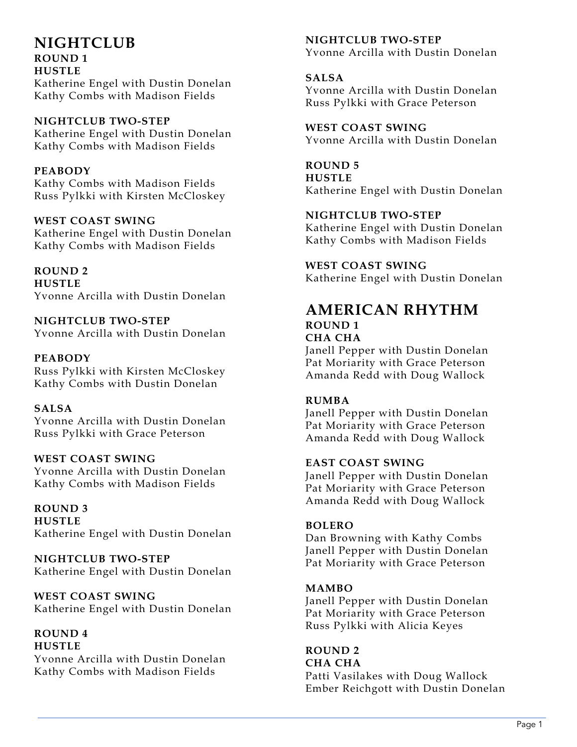# **NIGHTCLUB ROUND 1 HUSTLE**

Katherine Engel with Dustin Donelan Kathy Combs with Madison Fields

# **NIGHTCLUB TWO-STEP**

Katherine Engel with Dustin Donelan Kathy Combs with Madison Fields

# **PEABODY**

Kathy Combs with Madison Fields Russ Pylkki with Kirsten McCloskey

# **WEST COAST SWING**

Katherine Engel with Dustin Donelan Kathy Combs with Madison Fields

# **ROUND 2**

**HUSTLE** Yvonne Arcilla with Dustin Donelan

## **NIGHTCLUB TWO-STEP** Yvonne Arcilla with Dustin Donelan

# **PEABODY**

Russ Pylkki with Kirsten McCloskey Kathy Combs with Dustin Donelan

# **SALSA**

Yvonne Arcilla with Dustin Donelan Russ Pylkki with Grace Peterson

# **WEST COAST SWING**

Yvonne Arcilla with Dustin Donelan Kathy Combs with Madison Fields

**ROUND 3 HUSTLE** Katherine Engel with Dustin Donelan

**NIGHTCLUB TWO-STEP** Katherine Engel with Dustin Donelan

**WEST COAST SWING** Katherine Engel with Dustin Donelan

#### **ROUND 4 HUSTLE**

Yvonne Arcilla with Dustin Donelan Kathy Combs with Madison Fields

## **NIGHTCLUB TWO-STEP** Yvonne Arcilla with Dustin Donelan

**SALSA** Yvonne Arcilla with Dustin Donelan Russ Pylkki with Grace Peterson

**WEST COAST SWING** Yvonne Arcilla with Dustin Donelan

**ROUND 5 HUSTLE** Katherine Engel with Dustin Donelan

# **NIGHTCLUB TWO-STEP**

Katherine Engel with Dustin Donelan Kathy Combs with Madison Fields

**WEST COAST SWING**

Katherine Engel with Dustin Donelan

# **AMERICAN RHYTHM ROUND 1 CHA CHA**

Janell Pepper with Dustin Donelan Pat Moriarity with Grace Peterson Amanda Redd with Doug Wallock

# **RUMBA**

Janell Pepper with Dustin Donelan Pat Moriarity with Grace Peterson Amanda Redd with Doug Wallock

# **EAST COAST SWING**

Janell Pepper with Dustin Donelan Pat Moriarity with Grace Peterson Amanda Redd with Doug Wallock

# **BOLERO**

Dan Browning with Kathy Combs Janell Pepper with Dustin Donelan Pat Moriarity with Grace Peterson

# **MAMBO**

Janell Pepper with Dustin Donelan Pat Moriarity with Grace Peterson Russ Pylkki with Alicia Keyes

# **ROUND 2**

**CHA CHA** Patti Vasilakes with Doug Wallock Ember Reichgott with Dustin Donelan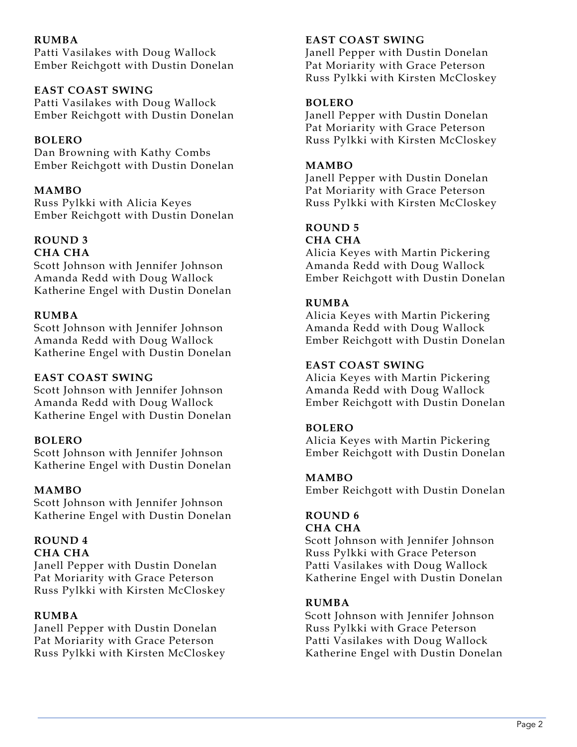# **RUMBA**

Patti Vasilakes with Doug Wallock Ember Reichgott with Dustin Donelan

## **EAST COAST SWING**

Patti Vasilakes with Doug Wallock Ember Reichgott with Dustin Donelan

# **BOLERO**

Dan Browning with Kathy Combs Ember Reichgott with Dustin Donelan

## **MAMBO**

Russ Pylkki with Alicia Keyes Ember Reichgott with Dustin Donelan

#### **ROUND 3 CHA CHA**

Scott Johnson with Jennifer Johnson Amanda Redd with Doug Wallock Katherine Engel with Dustin Donelan

## **RUMBA**

Scott Johnson with Jennifer Johnson Amanda Redd with Doug Wallock Katherine Engel with Dustin Donelan

#### **EAST COAST SWING**

Scott Johnson with Jennifer Johnson Amanda Redd with Doug Wallock Katherine Engel with Dustin Donelan

#### **BOLERO**

Scott Johnson with Jennifer Johnson Katherine Engel with Dustin Donelan

#### **MAMBO**

Scott Johnson with Jennifer Johnson Katherine Engel with Dustin Donelan

# **ROUND 4**

#### **CHA CHA**

Janell Pepper with Dustin Donelan Pat Moriarity with Grace Peterson Russ Pylkki with Kirsten McCloskey

#### **RUMBA**

Janell Pepper with Dustin Donelan Pat Moriarity with Grace Peterson Russ Pylkki with Kirsten McCloskey

#### **EAST COAST SWING**

Janell Pepper with Dustin Donelan Pat Moriarity with Grace Peterson Russ Pylkki with Kirsten McCloskey

#### **BOLERO**

Janell Pepper with Dustin Donelan Pat Moriarity with Grace Peterson Russ Pylkki with Kirsten McCloskey

#### **MAMBO**

Janell Pepper with Dustin Donelan Pat Moriarity with Grace Peterson Russ Pylkki with Kirsten McCloskey

# **ROUND 5**

# **CHA CHA**

Alicia Keyes with Martin Pickering Amanda Redd with Doug Wallock Ember Reichgott with Dustin Donelan

#### **RUMBA**

Alicia Keyes with Martin Pickering Amanda Redd with Doug Wallock Ember Reichgott with Dustin Donelan

## **EAST COAST SWING**

Alicia Keyes with Martin Pickering Amanda Redd with Doug Wallock Ember Reichgott with Dustin Donelan

#### **BOLERO**

Alicia Keyes with Martin Pickering Ember Reichgott with Dustin Donelan

#### **MAMBO**

Ember Reichgott with Dustin Donelan

# **ROUND 6**

#### **CHA CHA**

Scott Johnson with Jennifer Johnson Russ Pylkki with Grace Peterson Patti Vasilakes with Doug Wallock Katherine Engel with Dustin Donelan

#### **RUMBA**

Scott Johnson with Jennifer Johnson Russ Pylkki with Grace Peterson Patti Vasilakes with Doug Wallock Katherine Engel with Dustin Donelan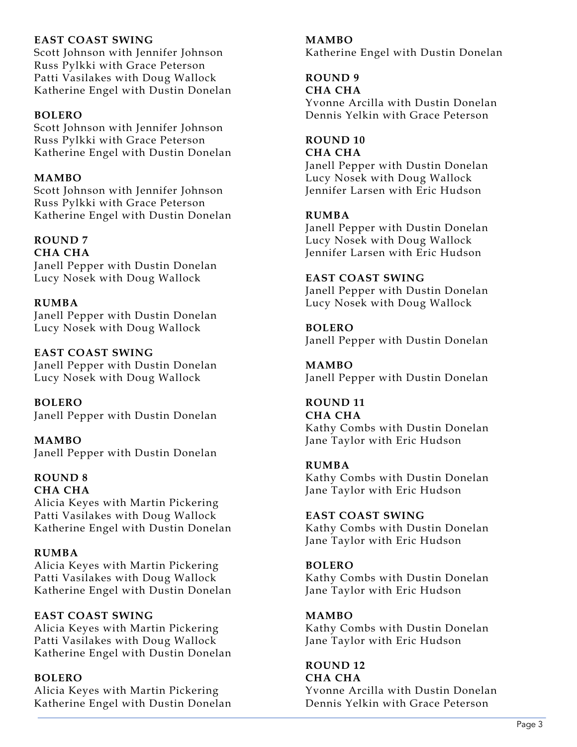# **EAST COAST SWING**

Scott Johnson with Jennifer Johnson Russ Pylkki with Grace Peterson Patti Vasilakes with Doug Wallock Katherine Engel with Dustin Donelan

#### **BOLERO**

Scott Johnson with Jennifer Johnson Russ Pylkki with Grace Peterson Katherine Engel with Dustin Donelan

## **MAMBO**

Scott Johnson with Jennifer Johnson Russ Pylkki with Grace Peterson Katherine Engel with Dustin Donelan

#### **ROUND 7 CHA CHA**

Janell Pepper with Dustin Donelan Lucy Nosek with Doug Wallock

## **RUMBA**

Janell Pepper with Dustin Donelan Lucy Nosek with Doug Wallock

# **EAST COAST SWING**

Janell Pepper with Dustin Donelan Lucy Nosek with Doug Wallock

**BOLERO** Janell Pepper with Dustin Donelan

**MAMBO** Janell Pepper with Dustin Donelan

# **ROUND 8**

**CHA CHA** Alicia Keyes with Martin Pickering Patti Vasilakes with Doug Wallock Katherine Engel with Dustin Donelan

# **RUMBA**

Alicia Keyes with Martin Pickering Patti Vasilakes with Doug Wallock Katherine Engel with Dustin Donelan

# **EAST COAST SWING**

Alicia Keyes with Martin Pickering Patti Vasilakes with Doug Wallock Katherine Engel with Dustin Donelan

#### **BOLERO**

Alicia Keyes with Martin Pickering Katherine Engel with Dustin Donelan

## **MAMBO**

Katherine Engel with Dustin Donelan

# **ROUND 9**

#### **CHA CHA**

Yvonne Arcilla with Dustin Donelan Dennis Yelkin with Grace Peterson

# **ROUND 10**

#### **CHA CHA**

Janell Pepper with Dustin Donelan Lucy Nosek with Doug Wallock Jennifer Larsen with Eric Hudson

# **RUMBA**

Janell Pepper with Dustin Donelan Lucy Nosek with Doug Wallock Jennifer Larsen with Eric Hudson

## **EAST COAST SWING**

Janell Pepper with Dustin Donelan Lucy Nosek with Doug Wallock

## **BOLERO**

Janell Pepper with Dustin Donelan

**MAMBO** Janell Pepper with Dustin Donelan

# **ROUND 11**

**CHA CHA** Kathy Combs with Dustin Donelan Jane Taylor with Eric Hudson

# **RUMBA**

Kathy Combs with Dustin Donelan Jane Taylor with Eric Hudson

**EAST COAST SWING** Kathy Combs with Dustin Donelan Jane Taylor with Eric Hudson

## **BOLERO** Kathy Combs with Dustin Donelan Jane Taylor with Eric Hudson

**MAMBO** Kathy Combs with Dustin Donelan Jane Taylor with Eric Hudson

# **ROUND 12**

**CHA CHA** Yvonne Arcilla with Dustin Donelan Dennis Yelkin with Grace Peterson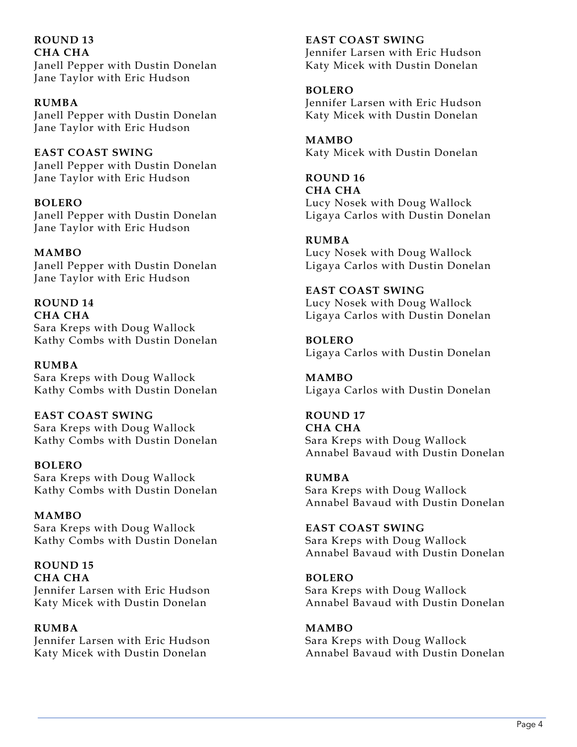**ROUND 13 CHA CHA** Janell Pepper with Dustin Donelan Jane Taylor with Eric Hudson

**RUMBA** Janell Pepper with Dustin Donelan Jane Taylor with Eric Hudson

**EAST COAST SWING** Janell Pepper with Dustin Donelan Jane Taylor with Eric Hudson

**BOLERO** Janell Pepper with Dustin Donelan Jane Taylor with Eric Hudson

**MAMBO** Janell Pepper with Dustin Donelan Jane Taylor with Eric Hudson

**ROUND 14 CHA CHA** Sara Kreps with Doug Wallock Kathy Combs with Dustin Donelan

**RUMBA** Sara Kreps with Doug Wallock Kathy Combs with Dustin Donelan

**EAST COAST SWING** Sara Kreps with Doug Wallock Kathy Combs with Dustin Donelan

**BOLERO** Sara Kreps with Doug Wallock Kathy Combs with Dustin Donelan

**MAMBO** Sara Kreps with Doug Wallock Kathy Combs with Dustin Donelan

**ROUND 15 CHA CHA** Jennifer Larsen with Eric Hudson Katy Micek with Dustin Donelan

**RUMBA** Jennifer Larsen with Eric Hudson Katy Micek with Dustin Donelan

**EAST COAST SWING** Jennifer Larsen with Eric Hudson Katy Micek with Dustin Donelan

**BOLERO** Jennifer Larsen with Eric Hudson Katy Micek with Dustin Donelan

**MAMBO** Katy Micek with Dustin Donelan

**ROUND 16 CHA CHA** Lucy Nosek with Doug Wallock Ligaya Carlos with Dustin Donelan

**RUMBA** Lucy Nosek with Doug Wallock Ligaya Carlos with Dustin Donelan

**EAST COAST SWING** Lucy Nosek with Doug Wallock Ligaya Carlos with Dustin Donelan

**BOLERO** Ligaya Carlos with Dustin Donelan

**MAMBO** Ligaya Carlos with Dustin Donelan

**ROUND 17 CHA CHA** Sara Kreps with Doug Wallock Annabel Bavaud with Dustin Donelan

**RUMBA** Sara Kreps with Doug Wallock Annabel Bavaud with Dustin Donelan

**EAST COAST SWING** Sara Kreps with Doug Wallock Annabel Bavaud with Dustin Donelan

**BOLERO** Sara Kreps with Doug Wallock Annabel Bavaud with Dustin Donelan

**MAMBO** Sara Kreps with Doug Wallock Annabel Bavaud with Dustin Donelan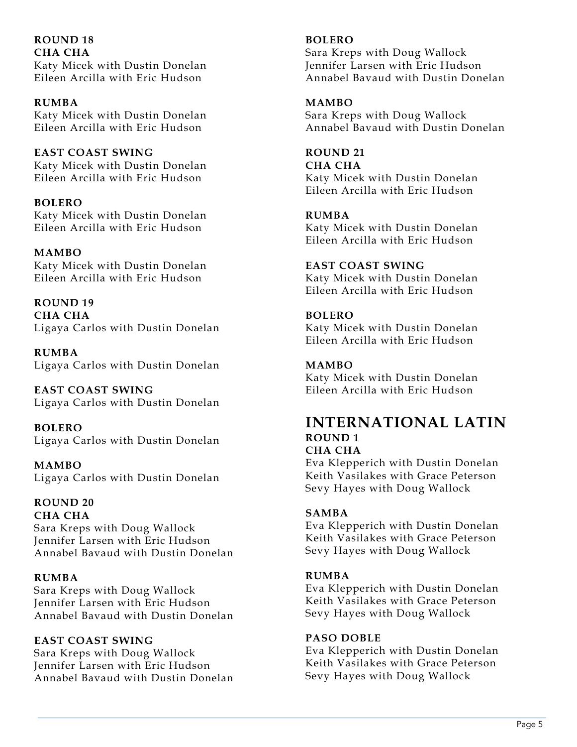**ROUND 18 CHA CHA** Katy Micek with Dustin Donelan Eileen Arcilla with Eric Hudson

**RUMBA** Katy Micek with Dustin Donelan Eileen Arcilla with Eric Hudson

**EAST COAST SWING** Katy Micek with Dustin Donelan Eileen Arcilla with Eric Hudson

**BOLERO** Katy Micek with Dustin Donelan Eileen Arcilla with Eric Hudson

**MAMBO** Katy Micek with Dustin Donelan Eileen Arcilla with Eric Hudson

**ROUND 19 CHA CHA** Ligaya Carlos with Dustin Donelan

**RUMBA** Ligaya Carlos with Dustin Donelan

**EAST COAST SWING** Ligaya Carlos with Dustin Donelan

**BOLERO** Ligaya Carlos with Dustin Donelan

**MAMBO** Ligaya Carlos with Dustin Donelan

# **ROUND 20**

**CHA CHA** Sara Kreps with Doug Wallock Jennifer Larsen with Eric Hudson Annabel Bavaud with Dustin Donelan

# **RUMBA**

Sara Kreps with Doug Wallock Jennifer Larsen with Eric Hudson Annabel Bavaud with Dustin Donelan

# **EAST COAST SWING**

Sara Kreps with Doug Wallock Jennifer Larsen with Eric Hudson Annabel Bavaud with Dustin Donelan

## **BOLERO**

Sara Kreps with Doug Wallock Jennifer Larsen with Eric Hudson Annabel Bavaud with Dustin Donelan

**MAMBO**

Sara Kreps with Doug Wallock Annabel Bavaud with Dustin Donelan

**ROUND 21 CHA CHA** Katy Micek with Dustin Donelan Eileen Arcilla with Eric Hudson

**RUMBA** Katy Micek with Dustin Donelan Eileen Arcilla with Eric Hudson

**EAST COAST SWING** Katy Micek with Dustin Donelan Eileen Arcilla with Eric Hudson

**BOLERO** Katy Micek with Dustin Donelan Eileen Arcilla with Eric Hudson

**MAMBO** Katy Micek with Dustin Donelan Eileen Arcilla with Eric Hudson

# **INTERNATIONAL LATIN ROUND 1 CHA CHA**

Eva Klepperich with Dustin Donelan Keith Vasilakes with Grace Peterson Sevy Hayes with Doug Wallock

# **SAMBA**

Eva Klepperich with Dustin Donelan Keith Vasilakes with Grace Peterson Sevy Hayes with Doug Wallock

#### **RUMBA**

Eva Klepperich with Dustin Donelan Keith Vasilakes with Grace Peterson Sevy Hayes with Doug Wallock

#### **PASO DOBLE**

Eva Klepperich with Dustin Donelan Keith Vasilakes with Grace Peterson Sevy Hayes with Doug Wallock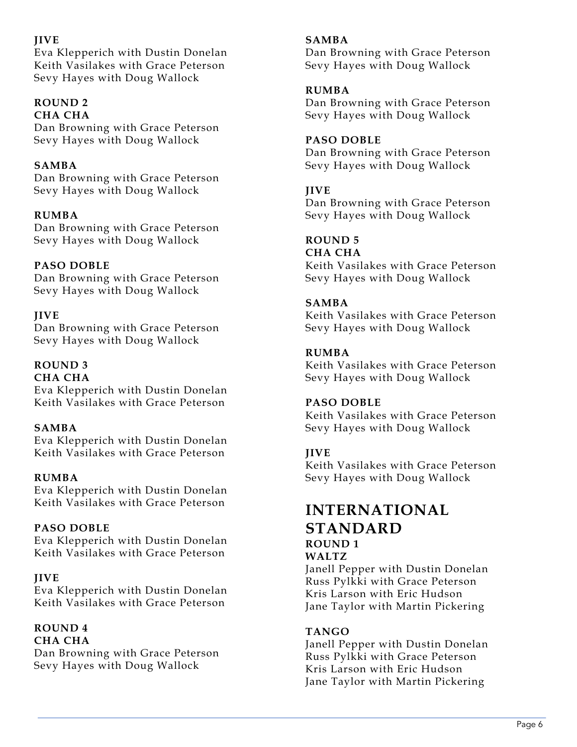# **JIVE**

Eva Klepperich with Dustin Donelan Keith Vasilakes with Grace Peterson Sevy Hayes with Doug Wallock

#### **ROUND 2 CHA CHA**

Dan Browning with Grace Peterson Sevy Hayes with Doug Wallock

# **SAMBA**

Dan Browning with Grace Peterson Sevy Hayes with Doug Wallock

# **RUMBA**

Dan Browning with Grace Peterson Sevy Hayes with Doug Wallock

# **PASO DOBLE**

Dan Browning with Grace Peterson Sevy Hayes with Doug Wallock

# **JIVE**

Dan Browning with Grace Peterson Sevy Hayes with Doug Wallock

#### **ROUND 3 CHA CHA**

Eva Klepperich with Dustin Donelan Keith Vasilakes with Grace Peterson

# **SAMBA**

Eva Klepperich with Dustin Donelan Keith Vasilakes with Grace Peterson

# **RUMBA**

Eva Klepperich with Dustin Donelan Keith Vasilakes with Grace Peterson

# **PASO DOBLE**

Eva Klepperich with Dustin Donelan Keith Vasilakes with Grace Peterson

# **JIVE**

Eva Klepperich with Dustin Donelan Keith Vasilakes with Grace Peterson

#### **ROUND 4 CHA CHA**

Dan Browning with Grace Peterson Sevy Hayes with Doug Wallock

# **SAMBA**

Dan Browning with Grace Peterson Sevy Hayes with Doug Wallock

# **RUMBA**

Dan Browning with Grace Peterson Sevy Hayes with Doug Wallock

# **PASO DOBLE**

Dan Browning with Grace Peterson Sevy Hayes with Doug Wallock

# **JIVE**

Dan Browning with Grace Peterson Sevy Hayes with Doug Wallock

# **ROUND 5**

**CHA CHA** Keith Vasilakes with Grace Peterson Sevy Hayes with Doug Wallock

# **SAMBA**

Keith Vasilakes with Grace Peterson Sevy Hayes with Doug Wallock

# **RUMBA**

Keith Vasilakes with Grace Peterson Sevy Hayes with Doug Wallock

# **PASO DOBLE**

Keith Vasilakes with Grace Peterson Sevy Hayes with Doug Wallock

# **JIVE**

Keith Vasilakes with Grace Peterson Sevy Hayes with Doug Wallock

# **INTERNATIONAL STANDARD ROUND 1**

**WALTZ**

Janell Pepper with Dustin Donelan Russ Pylkki with Grace Peterson Kris Larson with Eric Hudson Jane Taylor with Martin Pickering

# **TANGO**

Janell Pepper with Dustin Donelan Russ Pylkki with Grace Peterson Kris Larson with Eric Hudson Jane Taylor with Martin Pickering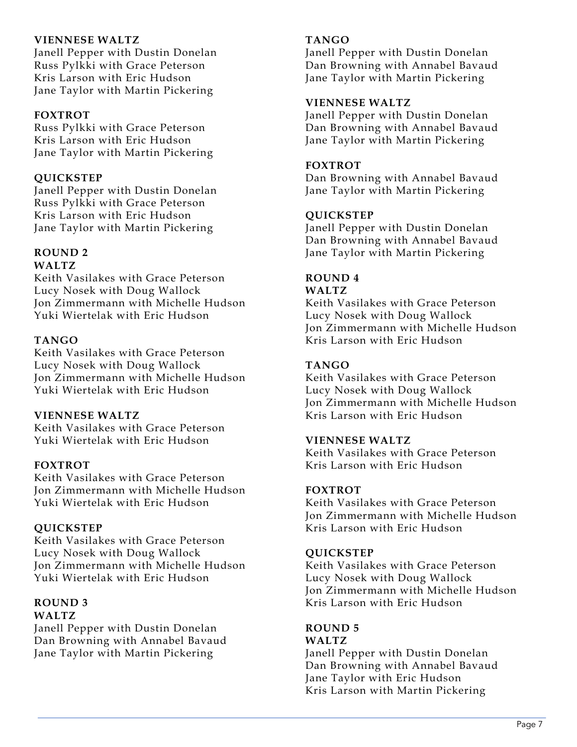## **VIENNESE WALTZ**

Janell Pepper with Dustin Donelan Russ Pylkki with Grace Peterson Kris Larson with Eric Hudson Jane Taylor with Martin Pickering

## **FOXTROT**

Russ Pylkki with Grace Peterson Kris Larson with Eric Hudson Jane Taylor with Martin Pickering

## **QUICKSTEP**

Janell Pepper with Dustin Donelan Russ Pylkki with Grace Peterson Kris Larson with Eric Hudson Jane Taylor with Martin Pickering

# **ROUND 2**

# **WALTZ**

Keith Vasilakes with Grace Peterson Lucy Nosek with Doug Wallock Jon Zimmermann with Michelle Hudson Yuki Wiertelak with Eric Hudson

## **TANGO**

Keith Vasilakes with Grace Peterson Lucy Nosek with Doug Wallock Jon Zimmermann with Michelle Hudson Yuki Wiertelak with Eric Hudson

#### **VIENNESE WALTZ**

Keith Vasilakes with Grace Peterson Yuki Wiertelak with Eric Hudson

#### **FOXTROT**

Keith Vasilakes with Grace Peterson Jon Zimmermann with Michelle Hudson Yuki Wiertelak with Eric Hudson

#### **QUICKSTEP**

Keith Vasilakes with Grace Peterson Lucy Nosek with Doug Wallock Jon Zimmermann with Michelle Hudson Yuki Wiertelak with Eric Hudson

#### **ROUND 3 WALTZ**

Janell Pepper with Dustin Donelan Dan Browning with Annabel Bavaud Jane Taylor with Martin Pickering

## **TANGO**

Janell Pepper with Dustin Donelan Dan Browning with Annabel Bavaud Jane Taylor with Martin Pickering

## **VIENNESE WALTZ**

Janell Pepper with Dustin Donelan Dan Browning with Annabel Bavaud Jane Taylor with Martin Pickering

#### **FOXTROT**

Dan Browning with Annabel Bavaud Jane Taylor with Martin Pickering

## **QUICKSTEP**

Janell Pepper with Dustin Donelan Dan Browning with Annabel Bavaud Jane Taylor with Martin Pickering

#### **ROUND 4 WALTZ**

Keith Vasilakes with Grace Peterson Lucy Nosek with Doug Wallock Jon Zimmermann with Michelle Hudson Kris Larson with Eric Hudson

# **TANGO**

Keith Vasilakes with Grace Peterson Lucy Nosek with Doug Wallock Jon Zimmermann with Michelle Hudson Kris Larson with Eric Hudson

#### **VIENNESE WALTZ**

Keith Vasilakes with Grace Peterson Kris Larson with Eric Hudson

#### **FOXTROT**

Keith Vasilakes with Grace Peterson Jon Zimmermann with Michelle Hudson Kris Larson with Eric Hudson

#### **QUICKSTEP**

Keith Vasilakes with Grace Peterson Lucy Nosek with Doug Wallock Jon Zimmermann with Michelle Hudson Kris Larson with Eric Hudson

#### **ROUND 5 WALTZ**

Janell Pepper with Dustin Donelan Dan Browning with Annabel Bavaud Jane Taylor with Eric Hudson Kris Larson with Martin Pickering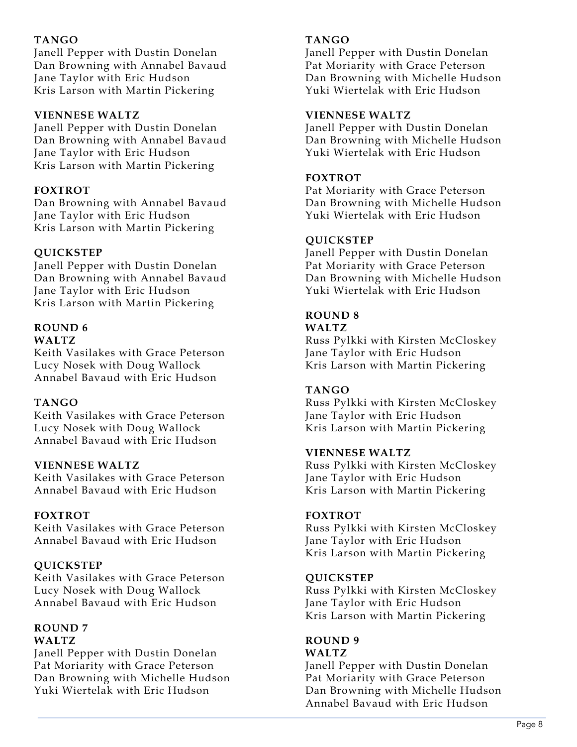# **TANGO**

Janell Pepper with Dustin Donelan Dan Browning with Annabel Bavaud Jane Taylor with Eric Hudson Kris Larson with Martin Pickering

## **VIENNESE WALTZ**

Janell Pepper with Dustin Donelan Dan Browning with Annabel Bavaud Jane Taylor with Eric Hudson Kris Larson with Martin Pickering

# **FOXTROT**

Dan Browning with Annabel Bavaud Jane Taylor with Eric Hudson Kris Larson with Martin Pickering

# **QUICKSTEP**

Janell Pepper with Dustin Donelan Dan Browning with Annabel Bavaud Jane Taylor with Eric Hudson Kris Larson with Martin Pickering

#### **ROUND 6 WALTZ**

Keith Vasilakes with Grace Peterson Lucy Nosek with Doug Wallock Annabel Bavaud with Eric Hudson

# **TANGO**

Keith Vasilakes with Grace Peterson Lucy Nosek with Doug Wallock Annabel Bavaud with Eric Hudson

#### **VIENNESE WALTZ**

Keith Vasilakes with Grace Peterson Annabel Bavaud with Eric Hudson

# **FOXTROT**

Keith Vasilakes with Grace Peterson Annabel Bavaud with Eric Hudson

# **QUICKSTEP**

Keith Vasilakes with Grace Peterson Lucy Nosek with Doug Wallock Annabel Bavaud with Eric Hudson

#### **ROUND 7 WALTZ**

Janell Pepper with Dustin Donelan Pat Moriarity with Grace Peterson Dan Browning with Michelle Hudson Yuki Wiertelak with Eric Hudson

## **TANGO**

Janell Pepper with Dustin Donelan Pat Moriarity with Grace Peterson Dan Browning with Michelle Hudson Yuki Wiertelak with Eric Hudson

#### **VIENNESE WALTZ**

Janell Pepper with Dustin Donelan Dan Browning with Michelle Hudson Yuki Wiertelak with Eric Hudson

## **FOXTROT**

Pat Moriarity with Grace Peterson Dan Browning with Michelle Hudson Yuki Wiertelak with Eric Hudson

## **QUICKSTEP**

Janell Pepper with Dustin Donelan Pat Moriarity with Grace Peterson Dan Browning with Michelle Hudson Yuki Wiertelak with Eric Hudson

#### **ROUND 8 WALTZ**

Russ Pylkki with Kirsten McCloskey Jane Taylor with Eric Hudson Kris Larson with Martin Pickering

# **TANGO**

Russ Pylkki with Kirsten McCloskey Jane Taylor with Eric Hudson Kris Larson with Martin Pickering

#### **VIENNESE WALTZ**

Russ Pylkki with Kirsten McCloskey Jane Taylor with Eric Hudson Kris Larson with Martin Pickering

# **FOXTROT**

Russ Pylkki with Kirsten McCloskey Jane Taylor with Eric Hudson Kris Larson with Martin Pickering

#### **QUICKSTEP**

Russ Pylkki with Kirsten McCloskey Jane Taylor with Eric Hudson Kris Larson with Martin Pickering

# **ROUND 9**

# **WALTZ**

Janell Pepper with Dustin Donelan Pat Moriarity with Grace Peterson Dan Browning with Michelle Hudson Annabel Bavaud with Eric Hudson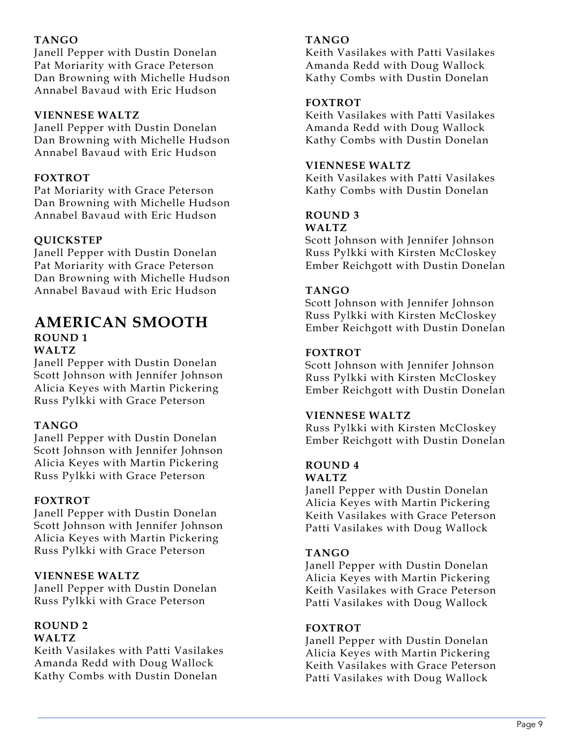# **TANGO**

Janell Pepper with Dustin Donelan Pat Moriarity with Grace Peterson Dan Browning with Michelle Hudson Annabel Bavaud with Eric Hudson

## **VIENNESE WALTZ**

Janell Pepper with Dustin Donelan Dan Browning with Michelle Hudson Annabel Bavaud with Eric Hudson

# **FOXTROT**

Pat Moriarity with Grace Peterson Dan Browning with Michelle Hudson Annabel Bavaud with Eric Hudson

# **QUICKSTEP**

Janell Pepper with Dustin Donelan Pat Moriarity with Grace Peterson Dan Browning with Michelle Hudson Annabel Bavaud with Eric Hudson

## **AMERICAN SMOOTH ROUND 1 WALTZ**

Janell Pepper with Dustin Donelan Scott Johnson with Jennifer Johnson Alicia Keyes with Martin Pickering Russ Pylkki with Grace Peterson

# **TANGO**

Janell Pepper with Dustin Donelan Scott Johnson with Jennifer Johnson Alicia Keyes with Martin Pickering Russ Pylkki with Grace Peterson

# **FOXTROT**

Janell Pepper with Dustin Donelan Scott Johnson with Jennifer Johnson Alicia Keyes with Martin Pickering Russ Pylkki with Grace Peterson

# **VIENNESE WALTZ**

Janell Pepper with Dustin Donelan Russ Pylkki with Grace Peterson

#### **ROUND 2 WALTZ**

Keith Vasilakes with Patti Vasilakes Amanda Redd with Doug Wallock Kathy Combs with Dustin Donelan

#### **TANGO**

Keith Vasilakes with Patti Vasilakes Amanda Redd with Doug Wallock Kathy Combs with Dustin Donelan

## **FOXTROT**

Keith Vasilakes with Patti Vasilakes Amanda Redd with Doug Wallock Kathy Combs with Dustin Donelan

## **VIENNESE WALTZ**

Keith Vasilakes with Patti Vasilakes Kathy Combs with Dustin Donelan

#### **ROUND 3 WALTZ**

Scott Johnson with Jennifer Johnson Russ Pylkki with Kirsten McCloskey Ember Reichgott with Dustin Donelan

# **TANGO**

Scott Johnson with Jennifer Johnson Russ Pylkki with Kirsten McCloskey Ember Reichgott with Dustin Donelan

## **FOXTROT**

Scott Johnson with Jennifer Johnson Russ Pylkki with Kirsten McCloskey Ember Reichgott with Dustin Donelan

#### **VIENNESE WALTZ**

Russ Pylkki with Kirsten McCloskey Ember Reichgott with Dustin Donelan

#### **ROUND 4 WALTZ**

Janell Pepper with Dustin Donelan Alicia Keyes with Martin Pickering Keith Vasilakes with Grace Peterson Patti Vasilakes with Doug Wallock

# **TANGO**

Janell Pepper with Dustin Donelan Alicia Keyes with Martin Pickering Keith Vasilakes with Grace Peterson Patti Vasilakes with Doug Wallock

#### **FOXTROT**

Janell Pepper with Dustin Donelan Alicia Keyes with Martin Pickering Keith Vasilakes with Grace Peterson Patti Vasilakes with Doug Wallock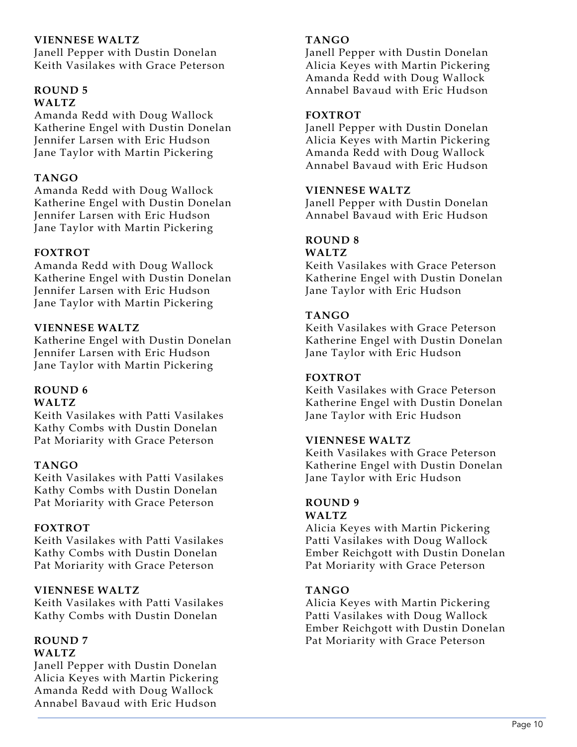#### **VIENNESE WALTZ**

Janell Pepper with Dustin Donelan Keith Vasilakes with Grace Peterson

#### **ROUND 5 WALTZ**

Amanda Redd with Doug Wallock Katherine Engel with Dustin Donelan Jennifer Larsen with Eric Hudson Jane Taylor with Martin Pickering

## **TANGO**

Amanda Redd with Doug Wallock Katherine Engel with Dustin Donelan Jennifer Larsen with Eric Hudson Jane Taylor with Martin Pickering

## **FOXTROT**

Amanda Redd with Doug Wallock Katherine Engel with Dustin Donelan Jennifer Larsen with Eric Hudson Jane Taylor with Martin Pickering

## **VIENNESE WALTZ**

Katherine Engel with Dustin Donelan Jennifer Larsen with Eric Hudson Jane Taylor with Martin Pickering

# **ROUND 6**

## **WALTZ**

Keith Vasilakes with Patti Vasilakes Kathy Combs with Dustin Donelan Pat Moriarity with Grace Peterson

#### **TANGO**

Keith Vasilakes with Patti Vasilakes Kathy Combs with Dustin Donelan Pat Moriarity with Grace Peterson

# **FOXTROT**

Keith Vasilakes with Patti Vasilakes Kathy Combs with Dustin Donelan Pat Moriarity with Grace Peterson

# **VIENNESE WALTZ**

Keith Vasilakes with Patti Vasilakes Kathy Combs with Dustin Donelan

# **ROUND 7**

# **WALTZ**

Janell Pepper with Dustin Donelan Alicia Keyes with Martin Pickering Amanda Redd with Doug Wallock Annabel Bavaud with Eric Hudson

## **TANGO**

Janell Pepper with Dustin Donelan Alicia Keyes with Martin Pickering Amanda Redd with Doug Wallock Annabel Bavaud with Eric Hudson

## **FOXTROT**

Janell Pepper with Dustin Donelan Alicia Keyes with Martin Pickering Amanda Redd with Doug Wallock Annabel Bavaud with Eric Hudson

#### **VIENNESE WALTZ**

Janell Pepper with Dustin Donelan Annabel Bavaud with Eric Hudson

# **ROUND 8**

# **WALTZ**

Keith Vasilakes with Grace Peterson Katherine Engel with Dustin Donelan Jane Taylor with Eric Hudson

## **TANGO**

Keith Vasilakes with Grace Peterson Katherine Engel with Dustin Donelan Jane Taylor with Eric Hudson

#### **FOXTROT**

Keith Vasilakes with Grace Peterson Katherine Engel with Dustin Donelan Jane Taylor with Eric Hudson

#### **VIENNESE WALTZ**

Keith Vasilakes with Grace Peterson Katherine Engel with Dustin Donelan Jane Taylor with Eric Hudson

#### **ROUND 9 WALTZ**

Alicia Keyes with Martin Pickering Patti Vasilakes with Doug Wallock Ember Reichgott with Dustin Donelan Pat Moriarity with Grace Peterson

# **TANGO**

Alicia Keyes with Martin Pickering Patti Vasilakes with Doug Wallock Ember Reichgott with Dustin Donelan Pat Moriarity with Grace Peterson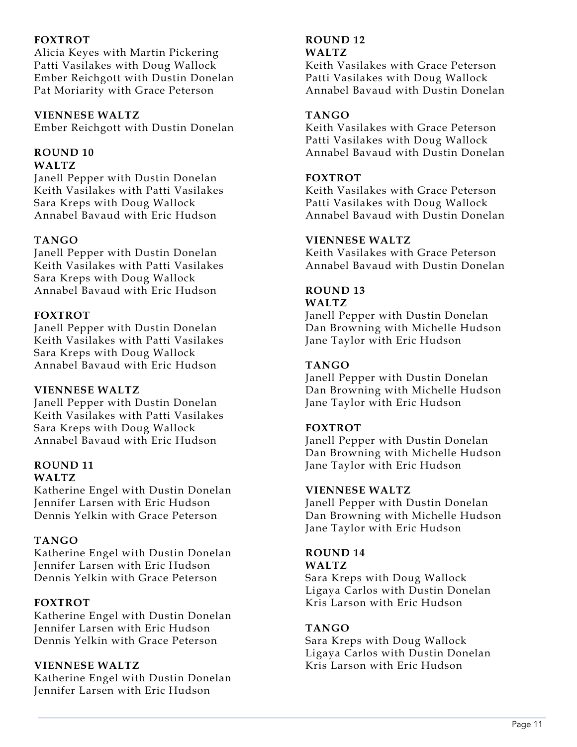# **FOXTROT**

Alicia Keyes with Martin Pickering Patti Vasilakes with Doug Wallock Ember Reichgott with Dustin Donelan Pat Moriarity with Grace Peterson

#### **VIENNESE WALTZ**

Ember Reichgott with Dustin Donelan

#### **ROUND 10 WALTZ**

Janell Pepper with Dustin Donelan Keith Vasilakes with Patti Vasilakes Sara Kreps with Doug Wallock Annabel Bavaud with Eric Hudson

# **TANGO**

Janell Pepper with Dustin Donelan Keith Vasilakes with Patti Vasilakes Sara Kreps with Doug Wallock Annabel Bavaud with Eric Hudson

## **FOXTROT**

Janell Pepper with Dustin Donelan Keith Vasilakes with Patti Vasilakes Sara Kreps with Doug Wallock Annabel Bavaud with Eric Hudson

#### **VIENNESE WALTZ**

Janell Pepper with Dustin Donelan Keith Vasilakes with Patti Vasilakes Sara Kreps with Doug Wallock Annabel Bavaud with Eric Hudson

#### **ROUND 11 WALTZ**

Katherine Engel with Dustin Donelan Jennifer Larsen with Eric Hudson Dennis Yelkin with Grace Peterson

# **TANGO**

Katherine Engel with Dustin Donelan Jennifer Larsen with Eric Hudson Dennis Yelkin with Grace Peterson

#### **FOXTROT**

Katherine Engel with Dustin Donelan Jennifer Larsen with Eric Hudson Dennis Yelkin with Grace Peterson

#### **VIENNESE WALTZ**

Katherine Engel with Dustin Donelan Jennifer Larsen with Eric Hudson

#### **ROUND 12 WALTZ**

Keith Vasilakes with Grace Peterson Patti Vasilakes with Doug Wallock Annabel Bavaud with Dustin Donelan

# **TANGO**

Keith Vasilakes with Grace Peterson Patti Vasilakes with Doug Wallock Annabel Bavaud with Dustin Donelan

## **FOXTROT**

Keith Vasilakes with Grace Peterson Patti Vasilakes with Doug Wallock Annabel Bavaud with Dustin Donelan

## **VIENNESE WALTZ**

Keith Vasilakes with Grace Peterson Annabel Bavaud with Dustin Donelan

#### **ROUND 13 WALTZ**

Janell Pepper with Dustin Donelan Dan Browning with Michelle Hudson Jane Taylor with Eric Hudson

# **TANGO**

Janell Pepper with Dustin Donelan Dan Browning with Michelle Hudson Jane Taylor with Eric Hudson

#### **FOXTROT**

Janell Pepper with Dustin Donelan Dan Browning with Michelle Hudson Jane Taylor with Eric Hudson

#### **VIENNESE WALTZ**

Janell Pepper with Dustin Donelan Dan Browning with Michelle Hudson Jane Taylor with Eric Hudson

#### **ROUND 14 WALTZ**

Sara Kreps with Doug Wallock Ligaya Carlos with Dustin Donelan Kris Larson with Eric Hudson

#### **TANGO**

Sara Kreps with Doug Wallock Ligaya Carlos with Dustin Donelan Kris Larson with Eric Hudson